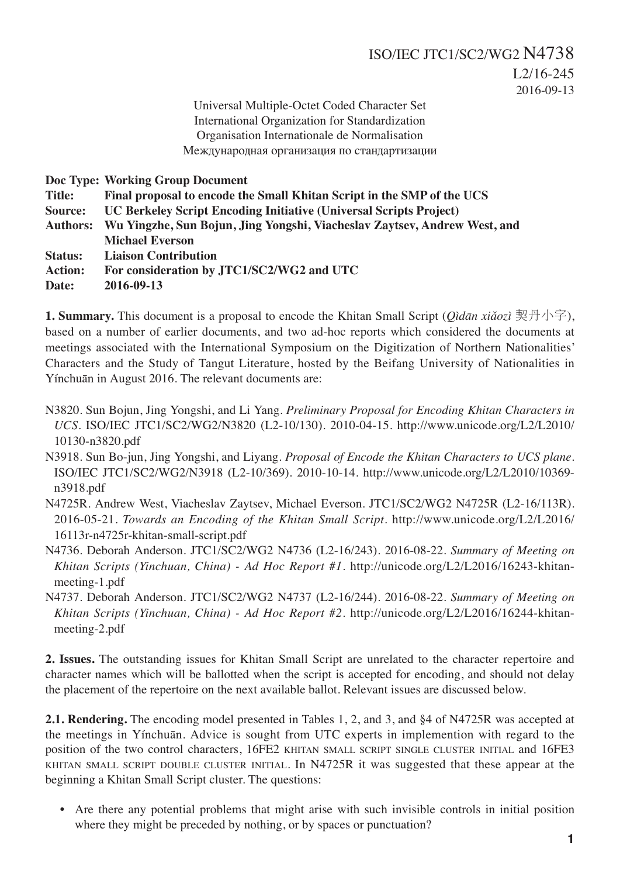2016-09-13

Universal Multiple-Octet Coded Character Set International Organization for Standardization Organisation Internationale de Normalisation Международная организация по стандартизации

**Doc Type: Working Group Document**

**Title: Final proposal to encode the Small Khitan Script in the SMP of the UCS Source: UC Berkeley Script Encoding Initiative (Universal Scripts Project)**

**Authors: Wu Yingzhe, Sun Bojun, Jing Yongshi, Viacheslav Zaytsev, Andrew West, and Michael Everson**

**Status: Liaison Contribution**

**Action: For consideration by JTC1/SC2/WG2 and UTC**

**Date: 2016-09-13**

**1. Summary.** This document is a proposal to encode the Khitan Small Script (*Qìdān xiǎozì* 契丹小字), based on a number of earlier documents, and two ad-hoc reports which considered the documents at meetings associated with the International Symposium on the Digitization of Northern Nationalities' Characters and the Study of Tangut Literature, hosted by the Beifang University of Nationalities in Yínchuān in August 2016. The relevant documents are:

- N3820. Sun Bojun, Jing Yongshi, and Li Yang. *Preliminary Proposal for Encoding Khitan Characters in UCS.* ISO/IEC JTC1/SC2/WG2/N3820 (L2-10/130). 2010-04-15. http://www.unicode.org/L2/L2010/ 10130-n3820.pdf
- N3918. Sun Bo-jun, Jing Yongshi, and Liyang. *Proposal of Encode the Khitan Characters to UCS plane*. ISO/IEC JTC1/SC2/WG2/N3918 (L2-10/369). 2010-10-14. http://www.unicode.org/L2/L2010/10369 n3918.pdf
- N4725R. Andrew West, Viacheslav Zaytsev, Michael Everson. JTC1/SC2/WG2 N4725R (L2-16/113R). 2016-05-21. *Towards an Encoding of the Khitan Small Script*. http://www.unicode.org/L2/L2016/ 16113r-n4725r-khitan-small-script.pdf
- N4736. Deborah Anderson. JTC1/SC2/WG2 N4736 (L2-16/243). 2016-08-22. *Summary of Meeting on Khitan Scripts (Yinchuan, China) - Ad Hoc Report #1*. http://unicode.org/L2/L2016/16243-khitanmeeting-1.pdf
- N4737. Deborah Anderson. JTC1/SC2/WG2 N4737 (L2-16/244). 2016-08-22. *Summary of Meeting on Khitan Scripts (Yinchuan, China) - Ad Hoc Report #2*. http://unicode.org/L2/L2016/16244-khitanmeeting-2.pdf

**2. Issues.** The outstanding issues for Khitan Small Script are unrelated to the character repertoire and character names which will be ballotted when the script is accepted for encoding, and should not delay the placement of the repertoire on the next available ballot. Relevant issues are discussed below.

**2.1. Rendering.** The encoding model presented in Tables 1, 2, and 3, and §4 of N4725R was accepted at the meetings in Yínchuān. Advice is sought from UTC experts in implemention with regard to the position of the two control characters, 16FE2 KHITAN SMALL SCRIPT SINGLE CLUSTER INITIAL and 16FE3 KHITAN SMALL SCRIPT DOUBLE CLUSTER INITIAL. In N4725R it was suggested that these appear at the beginning a Khitan Small Script cluster. The questions:

• Are there any potential problems that might arise with such invisible controls in initial position where they might be preceded by nothing, or by spaces or punctuation?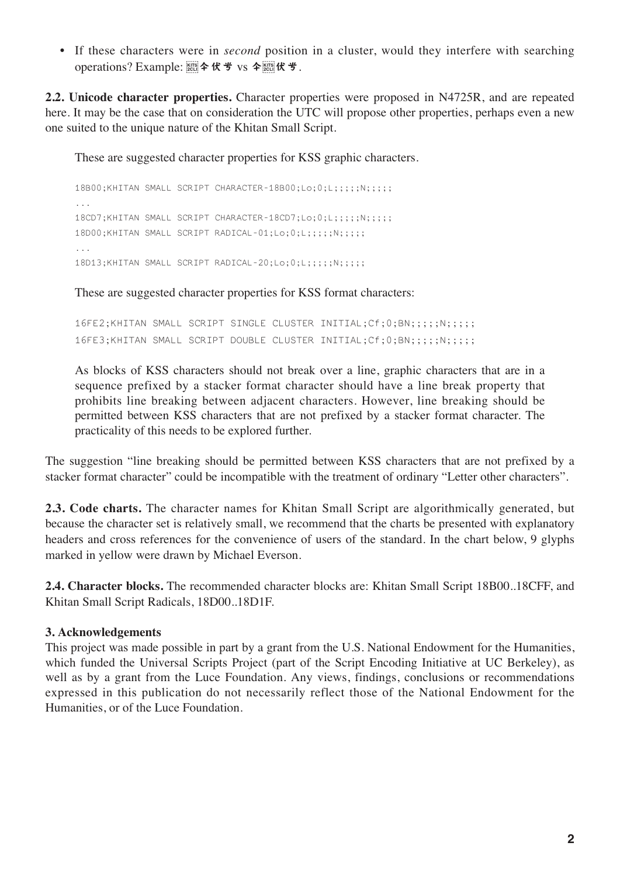• If these characters were in *second* position in a cluster, would they interfere with searching operations? Example: vs .

**2.2. Unicode character properties.** Character properties were proposed in N4725R, and are repeated here. It may be the case that on consideration the UTC will propose other properties, perhaps even a new one suited to the unique nature of the Khitan Small Script.

These are suggested character properties for KSS graphic characters.

18B00;KHITAN SMALL SCRIPT CHARACTER-18B00;Lo;0;L;;;;;N;;;;; 18CD7;KHITAN SMALL SCRIPT CHARACTER-18CD7;Lo;0;L;;;;;N;;;;; 18D00;KHITAN SMALL SCRIPT RADICAL-01;Lo;0;L;;;;;N;;;;;; ... 18D13;KHITAN SMALL SCRIPT RADICAL-20;Lo;0;L;;;;;N;;;;;

These are suggested character properties for KSS format characters:

16FE2;KHITAN SMALL SCRIPT SINGLE CLUSTER INITIAL;Cf;0;BN;;;;;N;;;;; 16FE3;KHITAN SMALL SCRIPT DOUBLE CLUSTER INITIAL;Cf;0;BN;;;;;N;;;;;

As blocks of KSS characters should not break over a line, graphic characters that are in a sequence prefixed by a stacker format character should have a line break property that prohibits line breaking between adjacent characters. However, line breaking should be permitted between KSS characters that are not prefixed by a stacker format character. The practicality of this needs to be explored further.

The suggestion "line breaking should be permitted between KSS characters that are not prefixed by a stacker format character" could be incompatible with the treatment of ordinary "Letter other characters".

**2.3. Code charts.** The character names for Khitan Small Script are algorithmically generated, but because the character set is relatively small, we recommend that the charts be presented with explanatory headers and cross references for the convenience of users of the standard. In the chart below, 9 glyphs marked in yellow were drawn by Michael Everson.

**2.4. Character blocks.** The recommended character blocks are: Khitan Small Script 18B00..18CFF, and Khitan Small Script Radicals, 18D00..18D1F.

# **3. Acknowledgements**

This project was made possible in part by a grant from the U.S. National Endowment for the Humanities, which funded the Universal Scripts Project (part of the Script Encoding Initiative at UC Berkeley), as well as by a grant from the Luce Foundation. Any views, findings, conclusions or recommendations expressed in this publication do not necessarily reflect those of the National Endowment for the Humanities, or of the Luce Foundation.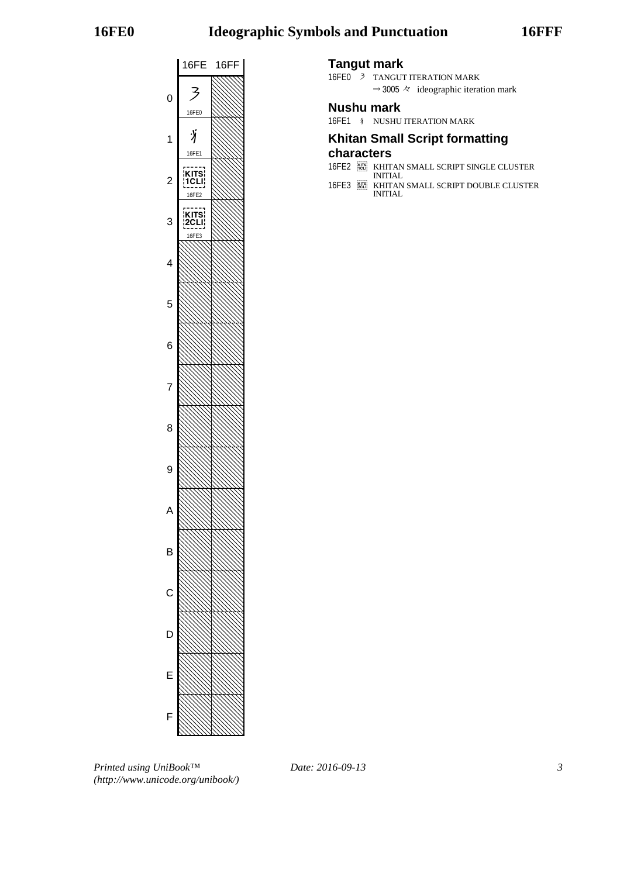# **16FE0 Ideographic Symbols and Punctuation 16FFF**



### **Tangut mark**

16FE0 3 TANGUT ITERATION MARK  $\rightarrow$  3005  $\approx$  ideographic iteration mark

# **Nushu mark**

16FE1  $\sqrt{\ }$  NUSHU ITERATION MARK

# **Khitan Small Script formatting**

# **characters**

- 16FE2 KHITAN SMALL SCRIPT SINGLE CLUSTER INITIAL
- 16FE3 KHITAN SMALL SCRIPT DOUBLE CLUSTER INITIAL

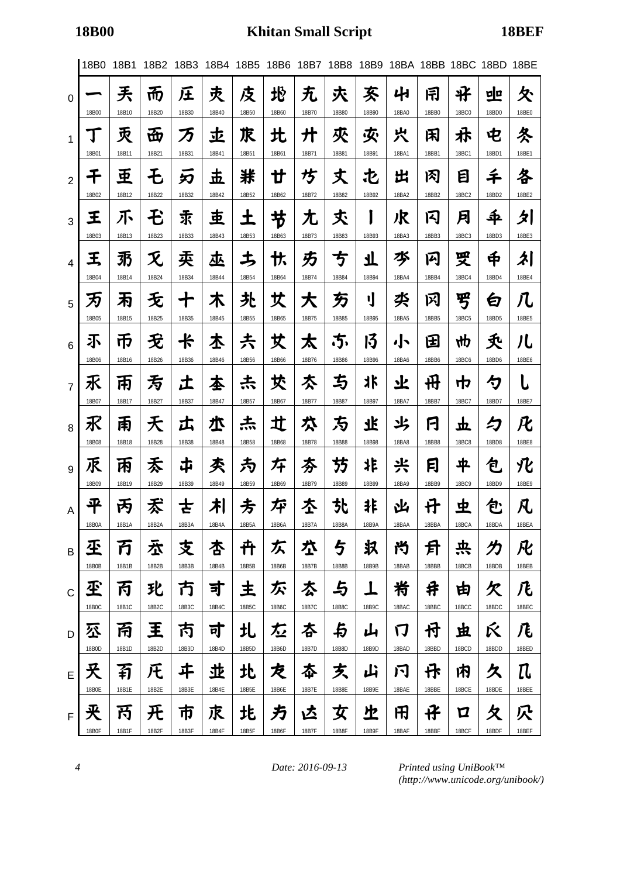|                | 18B0         | 18B1       | 18B2       | 18B3        | 18B4       | 18B5       | 18B6       | 18B7       | 18B8       | 18B9       |             |            | 18BA 18BB 18BC 18BD 18BE |            |             |
|----------------|--------------|------------|------------|-------------|------------|------------|------------|------------|------------|------------|-------------|------------|--------------------------|------------|-------------|
| 0              | 18B00        | 丢<br>18B10 | 而<br>18B20 | 圧<br>18B30  | 灻<br>18B40 | 庋<br>18B50 | 地<br>18B60 | 无<br>18B70 | 夾<br>18B80 | 亥<br>18B90 | 41<br>18BA0 | 闱<br>18BB0 | ザ<br><b>18BC0</b>        | 뽀<br>18BD0 | 仌<br>18BE0  |
| 1              | Ţ            | 汞          | 岙          | 万           | 圡          | 朿          | 北          | 廾          | 夾          | 夾          | 宍           | 闲          | 尗                        | 电          | 冬           |
|                | 18B01        | 18B11      | 18B21      | 18B31       | 18B41      | 18B51      | 18B61      | 18B71      | 18B81      | 18B91      | 18BA1       | 18BB1      | 18BC1                    | 18BD1      | 18BE1       |
| $\overline{2}$ | チ            | 亜          | モ          | 刃           | 圡          | 牂          | 廿          | 坊          | 丈          | 屯          | 出           | 冈          | 目                        | 千          | 各           |
|                | 18B02        | 18B12      | 18B22      | 18B32       | 18B42      | 18B52      | 18B62      | 18B72      | 18B82      | 18B92      | 18BA2       | 18BB2      | 18BC <sub>2</sub>        | 18BD2      | 18BE2       |
| 3              | 王            | 不          | モ          | 求           | 吏          | 土          | 节          | 尢          | 秂          | I          | 沢           | 冈          | 月                        | 秊          | 刉           |
|                | 18B03        | 18B13      | 18B23      | 18B33       | 18B43      | 18B53      | 18B63      | 18B73      | 18B83      | 18B93      | 18BA3       | 18BB3      | 18BC3                    | 18BD3      | 18BE3       |
| $\overline{4}$ | 王            | 羽          | 灭          | 卖           | 巫          | 圡          | 忕          | 方          | 亐          | 丌          | 岑           | 闪          | 受                        | $\bf \Phi$ | 刘           |
|                | 18B04        | 18B14      | 18B24      | 18B34       | 18B44      | 18B54      | 18B64      | 18B74      | 18B84      | 18B94      | 18BA4       | 18BB4      | 18BC4                    | 18BD4      | 18BE4       |
| 5              | 为            | 丙          | 无          | $\mathbf +$ | 木          | 夬          | 艾          | 大          | 万          | IJ         | 氼           | 冈          | 罗                        | 白          | 几           |
|                | 18B05        | 18B15      | 18B25      | 18B35       | 18B45      | 18B55      | 18B65      | 18B75      | 18B85      | 18B95      | 18BA5       | 18BB5      | 18BC5                    | 18BD5      | 18BE5       |
| 6              | 不            | 币          | 无          | 卡           | 本          | 尗          | 艾          | 太          | .5.        | 13         | , ∖         | 田          | ₩р                       | 夭          | 儿           |
| $\overline{7}$ | 18B06<br>乑   | 18B16<br>帀 | 18B26<br>亐 | 18B36<br>土  | 18B46<br>本 | 18B56<br>忐 | 18B66<br>犮 | 18B76<br>亽 | 18B86<br>与 | 18B96<br>氺 | 18BA6<br>业  | 18BB6<br>毌 | <b>18BC6</b><br>巾        | 18BD6<br>勺 | 18BE6       |
| 8              | 18B07        | 18B17      | 18B27      | 18B37       | 18B47      | 18B57      | 18B67      | 18B77      | 18B87      | 18B97      | 18BA7       | 18BB7      | 18BC7                    | 18BD7      | 18BE7       |
|                | 氷            | 甬          | 天          | 広           | 朩          | 杰          | 圵          | 术          | 方          | 飞          | 氺           | 闩          | 立                        | 夕          | 化           |
| 9              | 18B08        | 18B18      | 18B28      | 18B38       | 18B48      | 18B58      | 18B68      | 18B78      | 18B88      | 18B98      | 18BA8       | 18BB8      | <b>18BC8</b>             | 18BD8      | 18BE8       |
|                | 乑            | 丙          | 禾          | ヸ           | 秂          | 为          | 斥          | 夯          | 芀          | 诈          | 兴           | 冃          | 平                        | 包          | 化           |
| $\overline{A}$ | 18B09        | 18B19      | 18B29      | 18B39       | 18B49      | 18B59      | 18B69      | 18B79      | 18B89      | 18B99      | 18BA9       | 18BB9      | 18BC9                    | 18BD9      | 18BE9       |
|                | 平            | 丙          | 孞          | さ           | 치          | 方          | 埣          | 杢          | 찻          | 非          | 凶           | 廿          | 虫                        | 包          | 凡           |
| B              | 18B0A        | 18B1A      | 18B2A      | 18B3A       | 18B4A      | 18B5A      | 18B6A      | 18B7A      | 18B8A      | 18B9A      | 18BAA       | 18BBA      | 18BCA                    | 18BDA      | 18BEA       |
|                | 丕            | 万          | 厺          | 支           | 杏          | 卉          | 仄          | 垃          | 与          | 圦          | 兯           | 月          | 共                        | 为          | 凡           |
| $\mathsf{C}$   | 18B0B        | 18B1B      | 18B2B      | 18B3B       | 18B4B      | 18B5B      | 18B6B      | 18B7B      | 18B8B      | 18B9B      | 18BAB       | 18BBB      | 18BCB                    | 18BDB      | 18BEB       |
|                | 丕            | 丙          | 玭          | 冇           | 寸          | 主          | 尓          | 厺          | 与          | 丄          | 籿           | 井          | 由                        | 欠          | 几           |
| D              | 18B0C        | 18B1C      | 18B2C      | 18B3C       | 18B4C      | 18B5C      | 18B6C      | 18B7C      | 18B8C      | 18B9C      | 18BAC       | 18BBC      | 18BCC                    | 18BDC      | 18BEC       |
|                | 公            | 甬          | 王          | 芮           | 可          | 圠          | 厷          | 杏          | 与          | 山          | 门           | 付          | 虫                        | Ŕ          | 几           |
| E              | 18B0D        | 18B1D      | 18B2D      | 18B3D       | 18B4D      | 18B5D      | 18B6D      | 18B7D      | 18B8D      | 18B9D      | 18BAD       | 18BBD      | 18BCD                    | 18BDD      | 18BED       |
|                | 夭            | 有          | 圧          | ヰ           | 丠          | 北          | 芡          | 夲          | 炗          | 山          | 闩           | 伃          | 内                        | 久          | ${\rm \Pi}$ |
| $\mathsf F$    | 18B0E        | 18B1E      | 18B2E      | 18B3E       | 18B4E      | 18B5E      | 18B6E      | 18B7E      | 18B8E      | 18B9E      | 18BAE       | 18BBE      | 18BCE                    | 18BDE      | 18BEE       |
|                | 夹            | 芮          | 开          | 帀           | 朿          | 歨          | 方          | 兦          | 女          | 上          | 田           | 仔          | Д                        | 夂          | 穴           |
|                | <b>18B0F</b> | 18B1F      | 18B2F      | 18B3F       | 18B4F      | 18B5F      | 18B6F      | 18B7F      | 18B8F      | 18B9F      | 18BAF       | 18BBF      | 18BCF                    | 18BDF      | 18BEF       |

*4 Date: 2016-09-13*

*Printed using UniBook™ (http://www.unicode.org/unibook/)*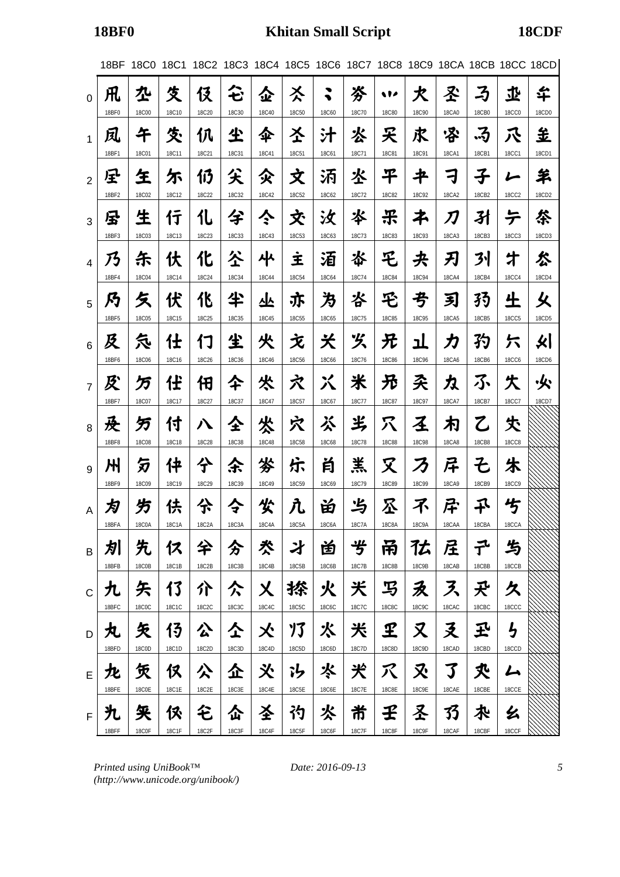|                | 18BF                | 18C0                              | 18C1                       |                     |                     |                            |                            |                     |                            | 18C2 18C3 18C4 18C5 18C6 18C7 18C8 18C9 18CA 18CB 18CC 18CD |                            |                      |                     |                     |             |
|----------------|---------------------|-----------------------------------|----------------------------|---------------------|---------------------|----------------------------|----------------------------|---------------------|----------------------------|-------------------------------------------------------------|----------------------------|----------------------|---------------------|---------------------|-------------|
| $\Omega$       | 凡<br>18BF0          | 坕<br><b>18C00</b>                 | 夊<br>18C10                 | 伇<br>18C20          | ↗<br>ゼ<br>18C30     | 企<br>18C40                 | 亽<br><b>18C50</b>          | ◥<br><b>18C60</b>   | 岑<br>18C70                 | w<br><b>18C80</b>                                           | 犬<br><b>18C90</b>          | 圣<br><b>18CA0</b>    | ろ<br>18CB0          | 丠<br><b>18CC0</b>   | 华<br>18CD0  |
| 1              | 凤<br>18BF1          | 午<br><b>18C01</b>                 | 氼<br>18C11                 | 仈<br>18C21          | 尘<br>18C31          | 伞<br>18C41                 | 圣<br><b>18C51</b>          | 汁<br>18C61          | 氺<br>18C71                 | 夭<br><b>18C81</b>                                           | 求<br>18C91                 | ふ<br><b>18CA1</b>    | .3<br>18CB1         | 八<br><b>18CC1</b>   | 呈<br>18CD1  |
| $\overline{2}$ | 星<br>18BF2          | 玍<br>18C02                        | 尓<br>18C12                 | 仍<br>18C22          | 尖<br>18C32          | 父<br>18C42                 | 文<br>18C52                 | 汭<br>18C62          | 氺<br>18C72                 | 平<br><b>18C82</b>                                           | 书<br><b>18C92</b>          | ₹<br><b>18CA2</b>    | 子<br>18CB2          | レ<br><b>18CC2</b>   | 羊<br>18CD2  |
| 3              | 尽<br>18BF3          | 生<br><b>18C03</b>                 | 行<br>18C13                 | 化<br>18C23          | 兮<br>18C33          | ぐ<br>18C43                 | 交<br><b>18C53</b>          | 汝<br>18C63          | 氺<br>18C73                 | ポ<br><b>18C83</b>                                           | 孑<br>18C93                 | 刀<br>18CA3           | 孙<br>18CB3          | テ<br><b>18CC3</b>   | 枀<br>18CD3  |
| 4              | 乃<br>18BF4          | 乐<br><b>18C04</b>                 | 伏<br>18C14                 | 化<br>18C24          | 公<br>18C34          | 사<br>18C44                 | İ<br><b>18C54</b>          | 洦<br><b>18C64</b>   | 岺<br>18C74                 | 乇<br><b>18C84</b>                                           | 夬<br><b>18C94</b>          | 刃<br><b>18CA4</b>    | 31<br>18CB4         | 才<br><b>18CC4</b>   | 忩<br>18CD4  |
| 5              | 乃<br>18BF5          | 夂<br><b>18C05</b>                 | 伏<br>18C15                 | 化<br>18C25          | 半<br><b>18C35</b>   | 丛<br>18C45                 | 亦<br><b>18C55</b>          | 为<br><b>18C65</b>   | 峇<br>18C75                 | 乇<br><b>18C85</b>                                           | 亐<br><b>18C95</b>          | 习<br><b>18CA5</b>    | 孖<br>18CB5          | 生<br><b>18CC5</b>   | 乆<br>18CD5  |
| 6              | 及<br>18BF6          | 気<br><b>18C06</b>                 | 仕<br>18C16                 | 17<br>18C26         | 尘<br>18C36          | 火<br>18C46                 | 文<br><b>18C56</b>          | 关<br><b>18C66</b>   | 义<br>18C76                 | 兄<br><b>18C86</b>                                           | ᆚ<br><b>18C96</b>          | カ<br>18CA6           | 犳<br>18CB6          | 六<br><b>18CC6</b>   | 火│<br>18CD6 |
| $\overline{7}$ | 及<br>18BF7          | 万<br>18C07                        | 任<br>18C17                 | 佃<br>18C27          | 仐<br>18C37          | 氼<br>18C47                 | 穴<br>18C57                 | 巜<br>18C67          | 米<br>18C77                 | 兄<br><b>18C87</b>                                           | 奀<br>18C97                 | 力<br>18CA7           | ふ<br>18CB7          | 失<br>18CC7          | ·火<br>18CD7 |
| 8              | 茂<br>18BF8          | 万<br><b>18C08</b>                 | 付<br><b>18C18</b>          | ハ<br>18C28          | 仝<br><b>18C38</b>   | 火<br>18C48                 | 穴<br><b>18C58</b>          | ぶ<br><b>18C68</b>   | 半<br>18C78                 | 穴<br><b>18C88</b>                                           | 圣<br><b>18C98</b>          | 冇<br><b>18CA8</b>    | 乙<br>18CB8          | 仧<br><b>18CC8</b>   |             |
| 9              | 州<br>18BF9          | 匇<br><b>18C09</b>                 | 件<br>18C19                 | 仐<br>18C29          | 余<br>18C39          | 岑<br>18C49                 | 乐<br><b>18C59</b>          | 肖<br><b>18C69</b>   | 羔<br>18C79                 | 又<br><b>18C89</b>                                           | ろ<br><b>18C99</b>          | 厈<br>18CA9           | そ<br>18CB9          | 朱<br><b>18CC9</b>   |             |
| A              | 为<br>18BF A         | 为<br>18C0A                        | 伕<br>18C1A                 | 厼<br>18C2A          | 今<br>18C3A          | 尖<br>18C4A                 | 几<br>18C5A                 | 畄<br>18C6A          | 屶<br>18C / A               | <b>ふくりょう</b><br>18C8A                                       | 不<br>18C9A                 | 尽<br>18CAA           | 乑<br>18CBA          | 兮<br>18CCA          |             |
| B              | 別<br>18BFB          | 先<br>18C0B                        | 仅<br>18C1B                 | 仐<br>18C2B          | 分<br>18C3B          | 氼<br>18C4B                 | 才<br>18C5B                 | 曽<br>18C6B          | ザ<br>18C7B                 | 甬<br>18C8B                                                  | 亿<br>18C9B                 | 屈<br>18CAB           | ユ<br>18CBB          | 与<br>18CCB          |             |
| $\mathsf{C}$   | 九<br>18BFC          | 矢<br><b>18C0C</b>                 | 13<br>18C1C                | 介<br>18C2C          | 仌<br>18C3C          | 乂<br>18C4C                 | 搽<br>18C5C                 | 火<br>18C6C          | 关<br>18C7C                 | 马<br><b>18C8C</b>                                           | 永<br><b>18C9C</b>          | ス<br>18CAC           | 夬<br>18CBC          | 久<br>18CCC          |             |
| D              | 丸<br>18BFD          | 矢<br>18C0D                        | 13<br>18C1D                | 公<br>18C2D          | 仝<br>18C3D          | 父                          | 13                         | 氺                   | 米                          | ${\bf I}$<br>18C8D                                          | 又<br>18C9D                 | 爻<br>18CAD           | 玊                   | <b>与</b>            |             |
| E              | 九                   | 赁                                 | 仅                          | 公                   | 企                   | 18C4D<br>氼                 | 18C5D<br>゙゙゙゙゚゙゚ゎ          | 18C6D<br>氺          | 18C7D<br>犬                 | Χ                                                           | 又                          | 了                    | 18CBD<br>氼          | 18CCD<br>ム          |             |
| F              | 18BFE<br>九<br>18BFF | <b>18C0E</b><br>釆<br><b>18C0F</b> | 18C1E<br>佟<br><b>18C1F</b> | 18C2E<br>仑<br>18C2F | 18C3E<br>仚<br>18C3F | 18C4E<br>圣<br><b>18C4F</b> | 18C5E<br>礿<br><b>18C5F</b> | 18C6E<br>氺<br>18C6F | 18C7E<br>芇<br><b>18C7F</b> | 18C8E<br>壬<br><b>18C8F</b>                                  | 18C9E<br>圣<br><b>18C9F</b> | 18CAE<br>33<br>18CAF | 18CBE<br>水<br>18CBF | 18CCE<br>幺<br>18CCF |             |

*Printed using UniBook™ (http://www.unicode.org/unibook/)*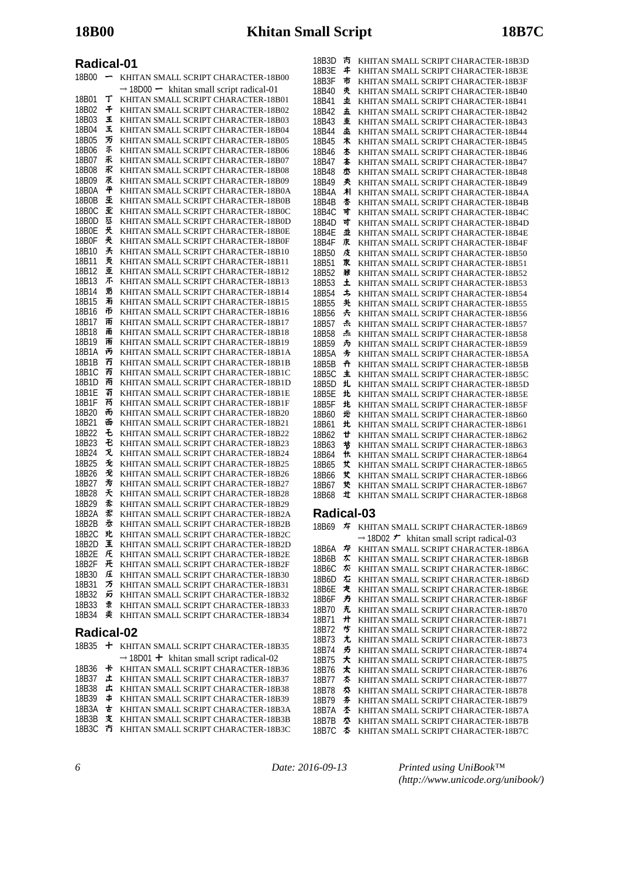| 18B00             | -      | KHITAN SMALL SCRIPT CHARACTER-18B00                              |
|-------------------|--------|------------------------------------------------------------------|
|                   |        | $\rightarrow$ 18D00 $\rightarrow$ khitan small script radical-01 |
| 18B01             | т      | KHITAN SMALL SCRIPT CHARACTER-18B01                              |
| 18B02             | 千      | KHITAN SMALL SCRIPT CHARACTER-18B02                              |
| 18B03             | 王      | KHITAN SMALL SCRIPT CHARACTER-18B03                              |
| 18B04             | Ŧ,     | KHITAN SMALL SCRIPT CHARACTER-18B04                              |
| 18B05             | 万      | KHITAN SMALL SCRIPT CHARACTER-18B05                              |
| 18B06             | 不      | KHITAN SMALL SCRIPT CHARACTER-18B06                              |
| 18B07             | 禾      | KHITAN SMALL SCRIPT CHARACTER-18B07                              |
| 18B08             | 乑      | KHITAN SMALL SCRIPT CHARACTER-18B08                              |
| 18B09             | 朿      | KHITAN SMALL SCRIPT CHARACTER-18B09                              |
| 18B0A             | 平      | KHITAN SMALL SCRIPT CHARACTER-18B0A                              |
| 18B0B             | 杢      | KHITAN SMALL SCRIPT CHARACTER-18B0B                              |
| 18B0C             | 歪      | KHITAN SMALL SCRIPT CHARACTER-18B0C                              |
| 18B0D             | 狉      | KHITAN SMALL SCRIPT CHARACTER-18B0D                              |
| 18B0E             | 珡      | KHITAN SMALL SCRIPT CHARACTER-18B0E                              |
| 18B0F             | 夹      | KHITAN SMALL SCRIPT CHARACTER-18B0F                              |
| 18B10             | 兲      | KHITAN SMALL SCRIPT CHARACTER-18B10                              |
| 18B11             | 灭      | KHITAN SMALL SCRIPT CHARACTER-18B11                              |
| 18B12             | 重      | KHITAN SMALL SCRIPT CHARACTER-18B12                              |
| 18B13             | 不      | KHITAN SMALL SCRIPT CHARACTER-18B13                              |
| 18B14             | 羽      | KHITAN SMALL SCRIPT CHARACTER-18B14                              |
| 18B15             | 耓      |                                                                  |
|                   | 币      | KHITAN SMALL SCRIPT CHARACTER-18B15                              |
| 18B16             |        | KHITAN SMALL SCRIPT CHARACTER-18B16                              |
| 18B17             | 雨      | KHITAN SMALL SCRIPT CHARACTER-18B17                              |
| 18B18             | 甬      | KHITAN SMALL SCRIPT CHARACTER-18B18                              |
| 18B19             | 雨      | KHITAN SMALL SCRIPT CHARACTER-18B19                              |
| 18B1A             | 丙      | KHITAN SMALL SCRIPT CHARACTER-18B1A                              |
| 18B1B             | 冇      | KHITAN SMALL SCRIPT CHARACTER-18B1B                              |
| 18B1C             | 丙      | KHITAN SMALL SCRIPT CHARACTER-18B1C                              |
| 18B1D             | 甬      | KHITAN SMALL SCRIPT CHARACTER-18B1D                              |
| 18B1E             | 有      | KHITAN SMALL SCRIPT CHARACTER-18B1E                              |
| 18B1F             | 芮      | KHITAN SMALL SCRIPT CHARACTER-18B1F                              |
| 18B20             | 而      | KHITAN SMALL SCRIPT CHARACTER-18B20                              |
| 18B21             | 面      | KHITAN SMALL SCRIPT CHARACTER-18B21                              |
| 18B22             | £      | KHITAN SMALL SCRIPT CHARACTER-18B22                              |
| 18B23             | Ð      | KHITAN SMALL SCRIPT CHARACTER-18B23                              |
| 18B24             | 灭      | KHITAN SMALL SCRIPT CHARACTER-18B24                              |
| 18B25             | 无      | KHITAN SMALL SCRIPT CHARACTER-18B25                              |
| 18B26             | 无      | KHITAN SMALL SCRIPT CHARACTER-18B26                              |
| 18B27             | 亐      | KHITAN SMALL SCRIPT CHARACTER-18B27                              |
| 18B28             | 夭      | KHITAN SMALL SCRIPT CHARACTER-18B28                              |
| 18B29             | 素      | KHITAN SMALL SCRIPT CHARACTER-18B29                              |
| 18B2A             | 禾      | KHITAN SMALL SCRIPT CHARACTER-18B2A                              |
| 18B2B             | 岙      | KHITAN SMALL SCRIPT CHARACTER-18B2B                              |
| 18B2C             | 玭      | KHITAN SMALL SCRIPT CHARACTER-18B2C                              |
| 18B2D             | 王      | KHITAN SMALL SCRIPT CHARACTER-18B2D                              |
| 18B2E             | 圧      | KHITAN SMALL SCRIPT CHARACTER-18B2E                              |
| 18B2F             | 开      | KHITAN SMALL SCRIPT CHARACTER-18B2F                              |
| 18B30             | 圧      | KHITAN SMALL SCRIPT CHARACTER-18B30                              |
| 18B31             | 万      | KHITAN SMALL SCRIPT CHARACTER-18B31                              |
| 18B32             | 另      | KHITAN SMALL SCRIPT CHARACTER-18B32                              |
| 18B33             | 隶      | KHITAN SMALL SCRIPT CHARACTER-18B33                              |
| 18B34             | 卖      | KHITAN SMALL SCRIPT CHARACTER-18B34                              |
|                   |        |                                                                  |
| <b>Radical-02</b> |        |                                                                  |
| 18B35             | +      | KHITAN SMALL SCRIPT CHARACTER-18B35                              |
|                   |        | $\rightarrow$ 18D01 + khitan small script radical-02             |
| 18B36             | $\ast$ | KHITAN SMALL SCRIPT CHARACTER-18B36                              |
| 18B37             | 土      | KHITAN SMALL SCRIPT CHARACTER-18B37                              |
| 18B38             | 圡      | KHITAN SMALL SCRIPT CHARACTER-18B38                              |
| 18B39             | ф      | KHITAN SMALL SCRIPT CHARACTER-18B39                              |
| 18B3A             | ォ      | KHITAN SMALL SCRIPT CHARACTER-18B3A                              |
|                   |        |                                                                  |

18B3B 支 KHITAN SMALL SCRIPT CHARACTER-18B3B 18B3C 方 KHITAN SMALL SCRIPT CHARACTER-18B3C

| 18B3D | 巿 | KHITAN SMALL SCRIPT CHARACTER-18B3D |
|-------|---|-------------------------------------|
| 18B3E | # | KHITAN SMALL SCRIPT CHARACTER-18B3E |
| 18B3F | 市 | KHITAN SMALL SCRIPT CHARACTER-18B3F |
| 18B40 | 灻 | KHITAN SMALL SCRIPT CHARACTER-18B40 |
| 18B41 | 圡 | KHITAN SMALL SCRIPT CHARACTER-18B41 |
| 18B42 | 圡 | KHITAN SMALL SCRIPT CHARACTER-18B42 |
| 18B43 | 重 | KHITAN SMALL SCRIPT CHARACTER-18B43 |
| 18B44 | 桽 | KHITAN SMALL SCRIPT CHARACTER-18B44 |
| 18B45 | 木 | KHITAN SMALL SCRIPT CHARACTER-18B45 |
| 18B46 | 本 | KHITAN SMALL SCRIPT CHARACTER-18B46 |
| 18B47 | 本 | KHITAN SMALL SCRIPT CHARACTER-18B47 |
| 18B48 | 朩 | KHITAN SMALL SCRIPT CHARACTER-18B48 |
| 18B49 | 类 | KHITAN SMALL SCRIPT CHARACTER-18B49 |
| 18B4A | 朻 | KHITAN SMALL SCRIPT CHARACTER-18B4A |
| 18B4B | 杏 | KHITAN SMALL SCRIPT CHARACTER-18B4B |
| 18B4C | 寸 | KHITAN SMALL SCRIPT CHARACTER-18B4C |
| 18B4D | 寸 | KHITAN SMALL SCRIPT CHARACTER-18B4D |
| 18B4E | 丠 | KHITAN SMALL SCRIPT CHARACTER-18B4E |
| 18B4F | 朿 | KHITAN SMALL SCRIPT CHARACTER-18B4F |
| 18B50 | 庋 | KHITAN SMALL SCRIPT CHARACTER-18B50 |
| 18B51 | 朿 | KHITAN SMALL SCRIPT CHARACTER-18B51 |
| 18B52 | ₩ | KHITAN SMALL SCRIPT CHARACTER-18B52 |
| 18B53 | Ŧ | KHITAN SMALL SCRIPT CHARACTER-18B53 |
| 18B54 | 圡 | KHITAN SMALL SCRIPT CHARACTER-18B54 |
| 18B55 | 共 | KHITAN SMALL SCRIPT CHARACTER-18B55 |
| 18B56 | 尗 | KHITAN SMALL SCRIPT CHARACTER-18B56 |
| 18B57 | 赤 | KHITAN SMALL SCRIPT CHARACTER-18B57 |
| 18B58 | 杰 | KHITAN SMALL SCRIPT CHARACTER-18B58 |
| 18B59 | 为 | KHITAN SMALL SCRIPT CHARACTER-18B59 |
| 18B5A | 圥 | KHITAN SMALL SCRIPT CHARACTER-18B5A |
| 18B5B | ╇ | KHITAN SMALL SCRIPT CHARACTER-18B5B |
| 18B5C | 主 | KHITAN SMALL SCRIPT CHARACTER-18B5C |
| 18B5D | 圠 | KHITAN SMALL SCRIPT CHARACTER-18B5D |
| 18B5E | 北 | KHITAN SMALL SCRIPT CHARACTER-18B5E |
| 18B5F | 北 | KHITAN SMALL SCRIPT CHARACTER-18B5F |
| 18B60 | 地 | KHITAN SMALL SCRIPT CHARACTER-18B60 |
| 18B61 | 北 | KHITAN SMALL SCRIPT CHARACTER-18B61 |
| 18B62 | Ħ | KHITAN SMALL SCRIPT CHARACTER-18B62 |
| 18B63 | # | KHITAN SMALL SCRIPT CHARACTER-18B63 |
| 18B64 | 忕 | KHITAN SMALL SCRIPT CHARACTER-18B64 |
| 18B65 | サ | KHITAN SMALL SCRIPT CHARACTER-18B65 |
| 18B66 | サ | KHITAN SMALL SCRIPT CHARACTER-18B66 |
| 18B67 | 犮 | KHITAN SMALL SCRIPT CHARACTER-18B67 |
| 18B68 | 圵 | KHITAN SMALL SCRIPT CHARACTER-18B68 |
|       |   |                                     |

# **Radical-03**

| 18B69 | 圷        | KHITAN SMALL SCRIPT CHARACTER-18B69                              |
|-------|----------|------------------------------------------------------------------|
|       |          | $\rightarrow$ 18D02 $\rightarrow$ khitan small script radical-03 |
| 18B6A | 炉        | KHITAN SMALL SCRIPT CHARACTER-18B6A                              |
| 18B6B | 厷        | KHITAN SMALL SCRIPT CHARACTER-18B6B                              |
| 18B6C | <b>た</b> | KHITAN SMALL SCRIPT CHARACTER-18B6C                              |
| 18B6D | 厷        | KHITAN SMALL SCRIPT CHARACTER-18B6D                              |
| 18B6E | 龙        | KHITAN SMALL SCRIPT CHARACTER-18B6E                              |
| 18B6F | 方        | KHITAN SMALL SCRIPT CHARACTER-18B6F                              |
| 18B70 | 冇.       | KHITAN SMALL SCRIPT CHARACTER-18B70                              |
| 18B71 | 廾        | KHITAN SMALL SCRIPT CHARACTER-18B71                              |
| 18B72 | 埗        | KHITAN SMALL SCRIPT CHARACTER-18B72                              |
| 18B73 | 尢        | KHITAN SMALL SCRIPT CHARACTER-18B73                              |
| 18B74 | 疓        | KHITAN SMALL SCRIPT CHARACTER-18B74                              |
| 18R75 | 大        | KHITAN SMALL SCRIPT CHARACTER-18B75                              |
| 18B76 | ★        | KHITAN SMALL SCRIPT CHARACTER-18B76                              |
| 18B77 | 木        | KHITAN SMALL SCRIPT CHARACTER-18B77                              |
| 18B78 | 术        | KHITAN SMALL SCRIPT CHARACTER-18B78                              |
| 18B79 | 夯        | KHITAN SMALL SCRIPT CHARACTER-18B79                              |
| 18B7A | 木        | KHITAN SMALL SCRIPT CHARACTER-18B7A                              |
| 18B7B | 术        | KHITAN SMALL SCRIPT CHARACTER-18B7B                              |
| 18B7C | 厺        | KHITAN SMALL SCRIPT CHARACTER-18B7C                              |

*6 Date: 2016-09-13*

*Printed using UniBook™ (http://www.unicode.org/unibook/)*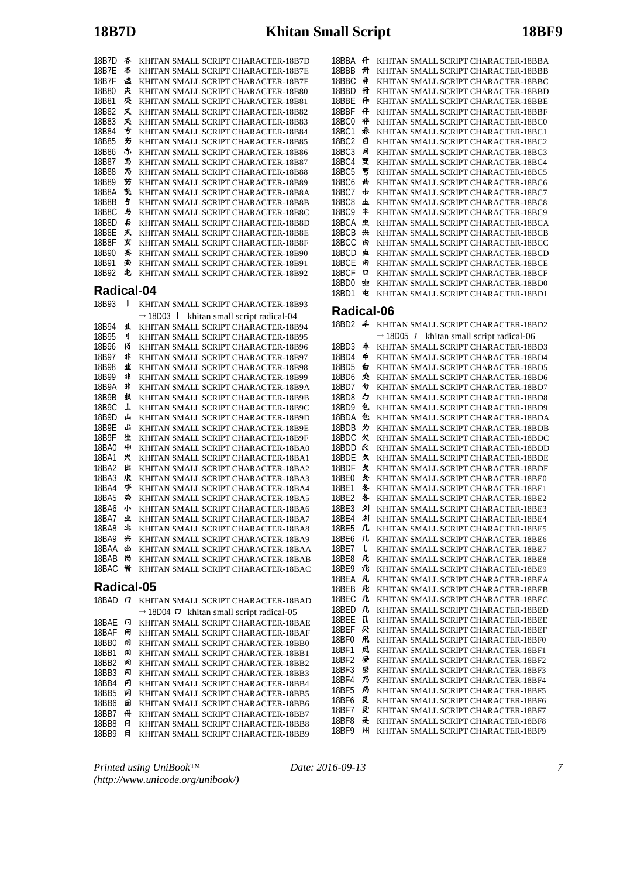| 18B7D | 杏   | KHITAN SMALL SCRIPT CHARACTER-18B7D |
|-------|-----|-------------------------------------|
| 18B7E | 杏   | KHITAN SMALL SCRIPT CHARACTER-18B7E |
| 18B7F | 迏   | KHITAN SMALL SCRIPT CHARACTER-18B7F |
| 18B80 | 灻   | KHITAN SMALL SCRIPT CHARACTER-18B80 |
| 18B81 | 夾   | KHITAN SMALL SCRIPT CHARACTER-18B81 |
| 18B82 | 丈   | KHITAN SMALL SCRIPT CHARACTER-18B82 |
| 18B83 | 灻   | KHITAN SMALL SCRIPT CHARACTER-18B83 |
| 18B84 | 亐   | KHITAN SMALL SCRIPT CHARACTER-18B84 |
| 18B85 | 芴   | KHITAN SMALL SCRIPT CHARACTER-18B85 |
| 18B86 | .5. | KHITAN SMALL SCRIPT CHARACTER-18B86 |
| 18B87 | 与   | KHITAN SMALL SCRIPT CHARACTER-18B87 |
| 18B88 | 方   | KHITAN SMALL SCRIPT CHARACTER-18B88 |
| 18B89 | 芀   | KHITAN SMALL SCRIPT CHARACTER-18B89 |
| 18B8A | 北   | KHITAN SMALL SCRIPT CHARACTER-18B8A |
| 18B8B | 5   | KHITAN SMALL SCRIPT CHARACTER-18B8B |
| 18B8C | 5   | KHITAN SMALL SCRIPT CHARACTER-18B8C |
| 18B8D | 45  | KHITAN SMALL SCRIPT CHARACTER-18B8D |
| 18B8E | 灻   | KHITAN SMALL SCRIPT CHARACTER-18B8E |
| 18B8F | 女   | KHITAN SMALL SCRIPT CHARACTER-18B8F |
| 18B90 | 紊   | KHITAN SMALL SCRIPT CHARACTER-18B90 |
| 18B91 | 夾   | KHITAN SMALL SCRIPT CHARACTER-18B91 |
| 18B92 | 屯   | KHITAN SMALL SCRIPT CHARACTER-18B92 |
|       |     |                                     |

| 18B93              | ı  | KHITAN SMALL SCRIPT CHARACTER-18B93                     |  |  |
|--------------------|----|---------------------------------------------------------|--|--|
|                    |    | $\rightarrow$ 18D03 1<br>khitan small script radical-04 |  |  |
| 18B94              | T  | KHITAN SMALL SCRIPT CHARACTER-18B94                     |  |  |
| 18B95              | ij | KHITAN SMALL SCRIPT CHARACTER-18B95                     |  |  |
| 18 <sub>B96</sub>  | 13 | KHITAN SMALL SCRIPT CHARACTER-18B96                     |  |  |
| 18 <sub>R97</sub>  | 氺  | KHITAN SMALL SCRIPT CHARACTER-18B97                     |  |  |
| 18B98              | 飞  | KHITAN SMALL SCRIPT CHARACTER-18B98                     |  |  |
| 18B99              | 非  | KHITAN SMALL SCRIPT CHARACTER-18B99                     |  |  |
| 18B9A              | 非  | KHITAN SMALL SCRIPT CHARACTER-18B9A                     |  |  |
| 18B9B              | 玖  | KHITAN SMALL SCRIPT CHARACTER-18B9B                     |  |  |
| 18 <sub>B9</sub> C | T  | KHITAN SMALL SCRIPT CHARACTER-18B9C                     |  |  |
| 18B9D              | ەل | KHITAN SMALL SCRIPT CHARACTER-18B9D                     |  |  |
| 18 <sub>B9F</sub>  | نل | KHITAN SMALL SCRIPT CHARACTER-18B9E                     |  |  |
| 18B9F              | 止  | KHITAN SMALL SCRIPT CHARACTER-18B9F                     |  |  |
| 18BA0              | 41 | KHITAN SMALL SCRIPT CHARACTER-18BA0                     |  |  |
| 18BA1              | 宍  | KHITAN SMALL SCRIPT CHARACTER-18BA1                     |  |  |
| 18BA2              | 出  | KHITAN SMALL SCRIPT CHARACTER-18BA2                     |  |  |
| 18BA3              | 水  | KHITAN SMALL SCRIPT CHARACTER-18BA3                     |  |  |
| 18 <sub>B</sub> A4 | 岑  | KHITAN SMALL SCRIPT CHARACTER-18BA4                     |  |  |
| 18BA5              | 类  | KHITAN SMALL SCRIPT CHARACTER-18BA5                     |  |  |
| 18BA6              | 小  | KHITAN SMALL SCRIPT CHARACTER-18BA6                     |  |  |
| 18BA7              | 业  | KHITAN SMALL SCRIPT CHARACTER-18BA7                     |  |  |
| <b>18BA8</b>       | 氺  | KHITAN SMALL SCRIPT CHARACTER-18BA8                     |  |  |
| 18BA9              | 共  | KHITAN SMALL SCRIPT CHARACTER-18BA9                     |  |  |
| 18BAA              | 凼  | KHITAN SMALL SCRIPT CHARACTER-18BAA                     |  |  |
| 18BAB              | 尚  | KHITAN SMALL SCRIPT CHARACTER-18BAB                     |  |  |
| 18BAC              | 峟  | KHITAN SMALL SCRIPT CHARACTER-18BAC                     |  |  |
| Radical-05         |    |                                                         |  |  |

| 18BAI        |    | KHITAN SMALL SCRIPT CHARACTER-18BAD                         |
|--------------|----|-------------------------------------------------------------|
|              |    | $\rightarrow$ 18D04 $\sigma$ khitan small script radical-05 |
| 18BAF        | 卪  | KHITAN SMALL SCRIPT CHARACTER-18BAE                         |
| 18BAF        | ÆH | KHITAN SMALL SCRIPT CHARACTER-18BAF                         |
| 18BB0        | 闬  | KHITAN SMALL SCRIPT CHARACTER-18BB0                         |
| 18BB1        | 闲  | KHITAN SMALL SCRIPT CHARACTER-18BB1                         |
| 18BB2        | 闲  | KHITAN SMALL SCRIPT CHARACTER-18BB2                         |
| 18BB3        | 冈  | KHITAN SMALL SCRIPT CHARACTER-18BB3                         |
| 18BB4        | 冈  | KHITAN SMALL SCRIPT CHARACTER-18BB4                         |
| <b>18BB5</b> | 冈  | KHITAN SMALL SCRIPT CHARACTER-18BB5                         |
| <b>18BB6</b> | 田  | KHITAN SMALL SCRIPT CHARACTER-18BB6                         |
| <b>18BB7</b> | 퓨  | KHITAN SMALL SCRIPT CHARACTER-18BB7                         |
| <b>18BB8</b> | A  | KHITAN SMALL SCRIPT CHARACTER-18BB8                         |
| <b>18BB9</b> | 日  | KHITAN SMALL SCRIPT CHARACTER-18BB9                         |

*Printed using UniBook™ (http://www.unicode.org/unibook/)* 18BBA **H** KHITAN SMALL SCRIPT CHARACTER-18BBA 18BBB **弁** KHITAN SMALL SCRIPT CHARACTER-18BBB 18BBC  $\#$  KHITAN SMALL SCRIPT CHARACTER-18BBC 18BBD 母 KHITAN SMALL SCRIPT CHARACTER-18BBD 18BBE  $\vec{r}$  KHITAN SMALL SCRIPT CHARACTER-18BBE 18BBF  $\mathbf{\hat{F}}$  KHITAN SMALL SCRIPT CHARACTER-18BBF 18BC0  $\mathbf{\mathcal{H}}$  KHITAN SMALL SCRIPT CHARACTER-18BC0 18BC1  $\text{R}$  KHITAN SMALL SCRIPT CHARACTER-18BC1 18BC2 **E KHITAN SMALL SCRIPT CHARACTER-18BC2**<br>18BC3 **F KHITAN SMALL SCRIPT CHARACTER-18BC3** KHITAN SMALL SCRIPT CHARACTER-18BC3 18BC4 受 KHITAN SMALL SCRIPT CHARACTER-18BC4 18BC5 罗 KHITAN SMALL SCRIPT CHARACTER-18BC5 18BC6 **M** KHITAN SMALL SCRIPT CHARACTER-18BC6 18BC7  $\Phi$  KHITAN SMALL SCRIPT CHARACTER-18BC7 18BC8 **L** KHITAN SMALL SCRIPT CHARACTER-18BC8 18BC9  $\textstyle{\ast}$  KHITAN SMALL SCRIPT CHARACTER-18BC9 18BCA **±** KHITAN SMALL SCRIPT CHARACTER-18BCA 18BCB **\*\*** KHITAN SMALL SCRIPT CHARACTER-18BCB 18BCC **b** KHITAN SMALL SCRIPT CHARACTER-18BCC 18BCD **±** KHITAN SMALL SCRIPT CHARACTER-18BCD 18BCE KHITAN SMALL SCRIPT CHARACTER-18BCE 18BCF **E** KHITAN SMALL SCRIPT CHARACTER-18BCF 18BD0 KHITAN SMALL SCRIPT CHARACTER-18BD0 18BD1 KHITAN SMALL SCRIPT CHARACTER-18BD1

#### **Radical-06**

| 18BD2        | ≄   | KHITAN SMALL SCRIPT CHARACTER-18BD2                  |
|--------------|-----|------------------------------------------------------|
|              |     | $\rightarrow$ 18D05 / khitan small script radical-06 |
| 18BD3        | 4   | KHITAN SMALL SCRIPT CHARACTER-18BD3                  |
| 18BD4        | ф   | KHITAN SMALL SCRIPT CHARACTER-18BD4                  |
| 18BD5        | 白   | KHITAN SMALL SCRIPT CHARACTER-18BD5                  |
| 18BD6        | 秂   | KHITAN SMALL SCRIPT CHARACTER-18BD6                  |
| 18BD7        | 々   | KHITAN SMALL SCRIPT CHARACTER-18BD7                  |
| 18BD8        | ク   | KHITAN SMALL SCRIPT CHARACTER-18BD8                  |
| 18BD9        | 包   | KHITAN SMALL SCRIPT CHARACTER-18BD9                  |
| 18BDA        | 包   | KHITAN SMALL SCRIPT CHARACTER-18BDA                  |
| 18BDB        | ヵ   | KHITAN SMALL SCRIPT CHARACTER-18BDB                  |
| 18BDC        | 欠   | KHITAN SMALL SCRIPT CHARACTER-18BDC                  |
| 18BDD        | Ŕ   | KHITAN SMALL SCRIPT CHARACTER-18BDD                  |
| 18BDE        | 久   | KHITAN SMALL SCRIPT CHARACTER-18BDE                  |
| 18BDF        | 夂   | KHITAN SMALL SCRIPT CHARACTER-18BDF                  |
| 18BE0        | 欠   | KHITAN SMALL SCRIPT CHARACTER-18BE0                  |
| 18BE1        | 冬   | KHITAN SMALL SCRIPT CHARACTER-18BE1                  |
| 18BE2        | 各   | KHITAN SMALL SCRIPT CHARACTER-18BE2                  |
| 18BE3        | 刉   | KHITAN SMALL SCRIPT CHARACTER-18BE3                  |
| 18BE4        | 刈   | KHITAN SMALL SCRIPT CHARACTER-18BE4                  |
| 18BE5        | 几   | KHITAN SMALL SCRIPT CHARACTER-18BE5                  |
| 18BE6        | 儿   | KHITAN SMALL SCRIPT CHARACTER-18BE6                  |
| 18BE7        | ι   | KHITAN SMALL SCRIPT CHARACTER-18BE7                  |
| 18BE8        | 厇   | KHITAN SMALL SCRIPT CHARACTER-18BE8                  |
| 18BE9        | 北   | KHITAN SMALL SCRIPT CHARACTER-18BE9                  |
| 18BEA        | 凡   | KHITAN SMALL SCRIPT CHARACTER-18BEA                  |
| 18BEB        | 凡   | KHITAN SMALL SCRIPT CHARACTER-18BEB                  |
| 18BEC        | 几   | KHITAN SMALL SCRIPT CHARACTER-18BEC                  |
| 18BED        | 几   | KHITAN SMALL SCRIPT CHARACTER-18BED                  |
| 18BEE        | īl. | KHITAN SMALL SCRIPT CHARACTER-18BEE                  |
| 18BEF        | 尕   | KHITAN SMALL SCRIPT CHARACTER-18BEF                  |
| 18BF0        | 凧   | KHITAN SMALL SCRIPT CHARACTER-18BF0                  |
| 18BF1        | 凤   | KHITAN SMALL SCRIPT CHARACTER-18BF1                  |
| 18BF2        | 昼   | KHITAN SMALL SCRIPT CHARACTER-18BF2                  |
| 18BF3        | 昼   | KHITAN SMALL SCRIPT CHARACTER-18BF3                  |
| 18BF4        | 乃   | KHITAN SMALL SCRIPT CHARACTER-18BF4                  |
| 18BF5        | 乃   | KHITAN SMALL SCRIPT CHARACTER-18BF5                  |
| 18BF6        | 及   | KHITAN SMALL SCRIPT CHARACTER-18BF6                  |
| 18BF7        | 及   | KHITAN SMALL SCRIPT CHARACTER-18BF7                  |
| <b>18BF8</b> | 叒   | KHITAN SMALL SCRIPT CHARACTER-18BF8                  |
| 18BF9        | ж   | KHITAN SMALL SCRIPT CHARACTER-18BF9                  |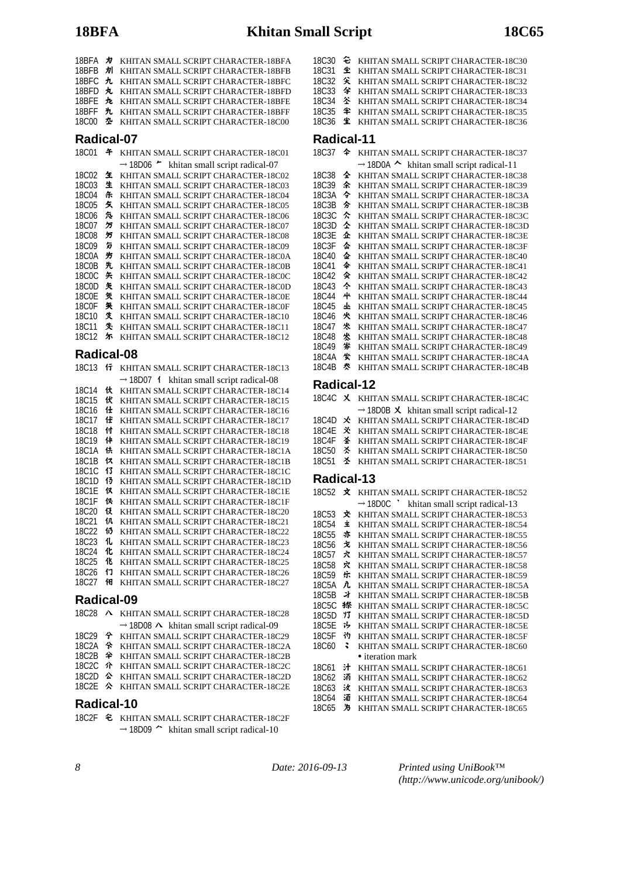| 18BFA<br>18BFB<br>18BFC<br>18BFD<br>18BFE<br>18BFF<br>18C00                                                                                                                | 为<br>別<br>九<br>丸<br>九<br>九<br>卆                                                            | KHITAN SMALL SCRIPT CHARACTER-18BFA<br>KHITAN SMALL SCRIPT CHARACTER-18BFB<br>KHITAN SMALL SCRIPT CHARACTER-18BFC<br>KHITAN SMALL SCRIPT CHARACTER-18BFD<br>KHITAN SMALL SCRIPT CHARACTER-18BFE<br>KHITAN SMALL SCRIPT CHARACTER-18BFF<br>KHITAN SMALL SCRIPT CHARACTER-18C00                                                                                                                                                                                                                                                                                                                                                                                                                                              |
|----------------------------------------------------------------------------------------------------------------------------------------------------------------------------|--------------------------------------------------------------------------------------------|----------------------------------------------------------------------------------------------------------------------------------------------------------------------------------------------------------------------------------------------------------------------------------------------------------------------------------------------------------------------------------------------------------------------------------------------------------------------------------------------------------------------------------------------------------------------------------------------------------------------------------------------------------------------------------------------------------------------------|
| Radical-07                                                                                                                                                                 |                                                                                            |                                                                                                                                                                                                                                                                                                                                                                                                                                                                                                                                                                                                                                                                                                                            |
| <b>18C01</b>                                                                                                                                                               | 午                                                                                          | KHITAN SMALL SCRIPT CHARACTER-18C01                                                                                                                                                                                                                                                                                                                                                                                                                                                                                                                                                                                                                                                                                        |
| 18C02<br>18C03<br>18C04<br>18C05<br>18C06<br>18C07<br>18C08<br>18C09<br>18C0A<br>18C0B<br>18C0C<br>18C0D<br><b>18C0E</b><br>18C0F<br>18C10<br>18C11                        | 玍<br>生<br>乐<br>攵<br>兔<br>゚゚゚゚゚゚゚゚゚゙゙<br>叧<br>匇<br>竻<br>先<br>矢<br>矢<br>気<br>矢<br>煲<br>失     | $\rightarrow$ 18D06 $\sim$ khitan small script radical-07<br>KHITAN SMALL SCRIPT CHARACTER-18C02<br>KHITAN SMALL SCRIPT CHARACTER-18C03<br>KHITAN SMALL SCRIPT CHARACTER-18C04<br>KHITAN SMALL SCRIPT CHARACTER-18C05<br>KHITAN SMALL SCRIPT CHARACTER-18C06<br>KHITAN SMALL SCRIPT CHARACTER-18C07<br>KHITAN SMALL SCRIPT CHARACTER-18C08<br>KHITAN SMALL SCRIPT CHARACTER-18C09<br>KHITAN SMALL SCRIPT CHARACTER-18C0A<br>KHITAN SMALL SCRIPT CHARACTER-18C0B<br>KHITAN SMALL SCRIPT CHARACTER-18C0C<br>KHITAN SMALL SCRIPT CHARACTER-18C0D<br>KHITAN SMALL SCRIPT CHARACTER-18C0E<br>KHITAN SMALL SCRIPT CHARACTER-18C0F<br>KHITAN SMALL SCRIPT CHARACTER-18C10<br>KHITAN SMALL SCRIPT CHARACTER-18C11                  |
| 18C12<br>Radical-08                                                                                                                                                        | 尓                                                                                          | KHITAN SMALL SCRIPT CHARACTER-18C12                                                                                                                                                                                                                                                                                                                                                                                                                                                                                                                                                                                                                                                                                        |
| 18C13                                                                                                                                                                      | 行                                                                                          | KHITAN SMALL SCRIPT CHARACTER-18C13                                                                                                                                                                                                                                                                                                                                                                                                                                                                                                                                                                                                                                                                                        |
| 18C14<br>18C15<br>18C16<br>18C17<br>18C18<br>18C19<br>18C1A<br>18C1B<br>18C1C<br>18C1D<br>18C1E<br>18C1F<br>18C <sub>20</sub><br>18C21<br>18C22<br>18C23<br>18C24<br>18C25 | 伙<br>伏<br>仕<br>仕<br>付<br>仹<br>伕<br>仅<br>13<br>13<br>仅<br>饫<br>伇<br>仉<br>113<br>化<br>化<br>化 | KHITAN SMALL SCRIPT CHARACTER-18C14<br>KHITAN SMALL SCRIPT CHARACTER-18C15<br>KHITAN SMALL SCRIPT CHARACTER-18C16<br>KHITAN SMALL SCRIPT CHARACTER-18C17<br>KHITAN SMALL SCRIPT CHARACTER-18C18<br>KHITAN SMALL SCRIPT CHARACTER-18C19<br>KHITAN SMALL SCRIPT CHARACTER-18C1A<br>KHITAN SMALL SCRIPT CHARACTER-18C1B<br>KHITAN SMALL SCRIPT CHARACTER-18C1C<br>KHITAN SMALL SCRIPT CHARACTER-18C1D<br>KHITAN SMALL SCRIPT CHARACTER-18C1E<br>KHITAN SMALL SCRIPT CHARACTER-18C1F<br>KHITAN SMALL SCRIPT CHARACTER-18C20<br>KHITAN SMALL SCRIPT CHARACTER-18C21<br>KHITAN SMALL SCRIPT CHARACTER-18C22<br>KHITAN SMALL SCRIPT CHARACTER-18C23<br>KHITAN SMALL SCRIPT CHARACTER-18C24<br>KHITAN SMALL SCRIPT CHARACTER-18C25 |
| 18C26                                                                                                                                                                      | 17                                                                                         | KHITAN SMALL SCRIPT CHARACTER-18C26                                                                                                                                                                                                                                                                                                                                                                                                                                                                                                                                                                                                                                                                                        |
| 18C27                                                                                                                                                                      | 佃                                                                                          | KHITAN SMALL SCRIPT CHARACTER-18C27                                                                                                                                                                                                                                                                                                                                                                                                                                                                                                                                                                                                                                                                                        |

|            |  | 18C28 A KHITAN SMALL SCRIPT CHARACTER-18C28                |  |  |  |
|------------|--|------------------------------------------------------------|--|--|--|
|            |  | $\rightarrow$ 18D08 $\land$ khitan small script radical-09 |  |  |  |
|            |  | 18C29 今 KHITAN SMALL SCRIPT CHARACTER-18C29                |  |  |  |
|            |  | 18C2A 令 KHITAN SMALL SCRIPT CHARACTER-18C2A                |  |  |  |
|            |  | 18C2B 全 KHITAN SMALL SCRIPT CHARACTER-18C2B                |  |  |  |
|            |  | 18C2C 介 KHITAN SMALL SCRIPT CHARACTER-18C2C                |  |  |  |
|            |  | 18C2D & KHITAN SMALL SCRIPT CHARACTER-18C2D                |  |  |  |
|            |  | 18C2E $\Diamond$ KHITAN SMALL SCRIPT CHARACTER-18C2E       |  |  |  |
| Radical-10 |  |                                                            |  |  |  |

18C2F & KHITAN SMALL SCRIPT CHARACTER-18C2F  $\rightarrow$  18D09  $\sim$  khitan small script radical-10

|                                                                            |  | 18C30 $\approx$ KHITAN SMALL SCRIPT CHARACTER-18C30<br>18C31 $\textcircled{2}$ KHITAN SMALL SCRIPT CHARACTER-18C31<br>18C32 关 KHITAN SMALL SCRIPT CHARACTER-18C32<br>18C33 字 KHITAN SMALL SCRIPT CHARACTER-18C33<br>18C34 圣 KHITAN SMALL SCRIPT CHARACTER-18C34<br>18C35 半 KHITAN SMALL SCRIPT CHARACTER-18C35 |  |  |
|----------------------------------------------------------------------------|--|----------------------------------------------------------------------------------------------------------------------------------------------------------------------------------------------------------------------------------------------------------------------------------------------------------------|--|--|
|                                                                            |  | 18C36 生 KHITAN SMALL SCRIPT CHARACTER-18C36                                                                                                                                                                                                                                                                    |  |  |
| Radical-11<br>10027 $\Delta$ <i>VIIITAN GMALL GODDER CILLD LOTED</i> 10027 |  |                                                                                                                                                                                                                                                                                                                |  |  |

| 18C37  | ≏  | KHITAN SMALL SCRIPT CHARACTER-18C37                       |
|--------|----|-----------------------------------------------------------|
|        |    | $\rightarrow$ 18D0A $\sim$ khitan small script radical-11 |
| 18C38  | 소  | KHITAN SMALL SCRIPT CHARACTER-18C38                       |
| 18C39  | 소  | KHITAN SMALL SCRIPT CHARACTER-18C39                       |
| 18C3A  | 今  | KHITAN SMALL SCRIPT CHARACTER-18C3A                       |
| 18C.3B | 分  | KHITAN SMALL SCRIPT CHARACTER-18C3B                       |
| 18C3C  | 亽  | KHITAN SMALL SCRIPT CHARACTER-18C3C                       |
| 18C3D  | 소  | KHITAN SMALL SCRIPT CHARACTER-18C3D                       |
| 18C3E  | 쇼  | KHITAN SMALL SCRIPT CHARACTER-18C3E                       |
| 18C.3F | 仚  | KHITAN SMALL SCRIPT CHARACTER-18C3F                       |
| 18C40  | 쇼  | KHITAN SMALL SCRIPT CHARACTER-18C40                       |
| 18C41  | 伞  | KHITAN SMALL SCRIPT CHARACTER-18C41                       |
| 18C.42 | 氽  | KHITAN SMALL SCRIPT CHARACTER-18C42                       |
| 18C43  | 仒  | KHITAN SMALL SCRIPT CHARACTER-18C43                       |
| 18C44  | 44 | KHITAN SMALL SCRIPT CHARACTER-18C44                       |
| 18C45  | ᄮ  | KHITAN SMALL SCRIPT CHARACTER-18C45                       |
| 18C46  | 火  | KHITAN SMALL SCRIPT CHARACTER-18C46                       |
| 18C47  | 火  | KHITAN SMALL SCRIPT CHARACTER-18C47                       |
| 18C48  | 怂  | KHITAN SMALL SCRIPT CHARACTER-18C48                       |
| 18C.49 | 挙  | KHITAN SMALL SCRIPT CHARACTER-18C49                       |
| 18C4A  | 坐  | KHITAN SMALL SCRIPT CHARACTER-18C4A                       |
| 18C4B  | 类  | KHITAN SMALL SCRIPT CHARACTER-18C4B                       |

# **Radical-12**

|  | 18C4C X KHITAN SMALL SCRIPT CHARACTER-18C4C          |
|--|------------------------------------------------------|
|  | $\rightarrow$ 18D0B X khitan small script radical-12 |
|  | 18C4D * KHITAN SMALL SCRIPT CHARACTER-18C4D          |
|  | 18C4E X KHITAN SMALL SCRIPT CHARACTER-18C4E          |
|  | 18C4F $\AA$ KHITAN SMALL SCRIPT CHARACTER-18C4F      |
|  | 18C50 X KHITAN SMALL SCRIPT CHARACTER-18C50          |
|  | 18C51 $\AA$ KHITAN SMALL SCRIPT CHARACTER-18C51      |
|  |                                                      |

# **Radical-13**

| <b>18C52</b>      | 文  | KHITAN SMALL SCRIPT CHARACTER-18C52                        |
|-------------------|----|------------------------------------------------------------|
|                   |    | $\rightarrow$ 18D0C $\cdot$ khitan small script radical-13 |
| 18C <sub>53</sub> | ጅ  | KHITAN SMALL SCRIPT CHARACTER-18C53                        |
| 18C54             | Ì  | KHITAN SMALL SCRIPT CHARACTER-18C54                        |
| 18C55             | 亦  | KHITAN SMALL SCRIPT CHARACTER-18C55                        |
| <b>18C56</b>      | 戈  | KHITAN SMALL SCRIPT CHARACTER-18C56                        |
| <b>18C57</b>      | ネ  | KHITAN SMALL SCRIPT CHARACTER-18C57                        |
| <b>18C58</b>      | 穴  | KHITAN SMALL SCRIPT CHARACTER-18C58                        |
| <b>18C59</b>      | 乐  | KHITAN SMALL SCRIPT CHARACTER-18C59                        |
| 18C5A             | λ. | KHITAN SMALL SCRIPT CHARACTER-18C5A                        |
| 18C5B             | 才  | KHITAN SMALL SCRIPT CHARACTER-18C5B                        |
| 18C5C             | 搽  | KHITAN SMALL SCRIPT CHARACTER-18C5C                        |
| 18C5D             | 13 | KHITAN SMALL SCRIPT CHARACTER-18C5D                        |
| <b>18C5E</b>      | 讣  | KHITAN SMALL SCRIPT CHARACTER-18C5E                        |
| 18C5F             | 礿  | KHITAN SMALL SCRIPT CHARACTER-18C5F                        |
| 18C60             | ₹  | KHITAN SMALL SCRIPT CHARACTER-18C60                        |
|                   |    | • iteration mark                                           |
| 18C61             | 汁  | KHITAN SMALL SCRIPT CHARACTER-18C61                        |
| 18C62             | 沰  | KHITAN SMALL SCRIPT CHARACTER-18C62                        |
| 18C63             | 汝  | KHITAN SMALL SCRIPT CHARACTER-18C63                        |
| 18C64             | 洦  | KHITAN SMALL SCRIPT CHARACTER-18C64                        |
| 18C65             | 为  | KHITAN SMALL SCRIPT CHARACTER-18C65                        |

*8 Date: 2016-09-13*

*Printed using UniBook™ (http://www.unicode.org/unibook/)*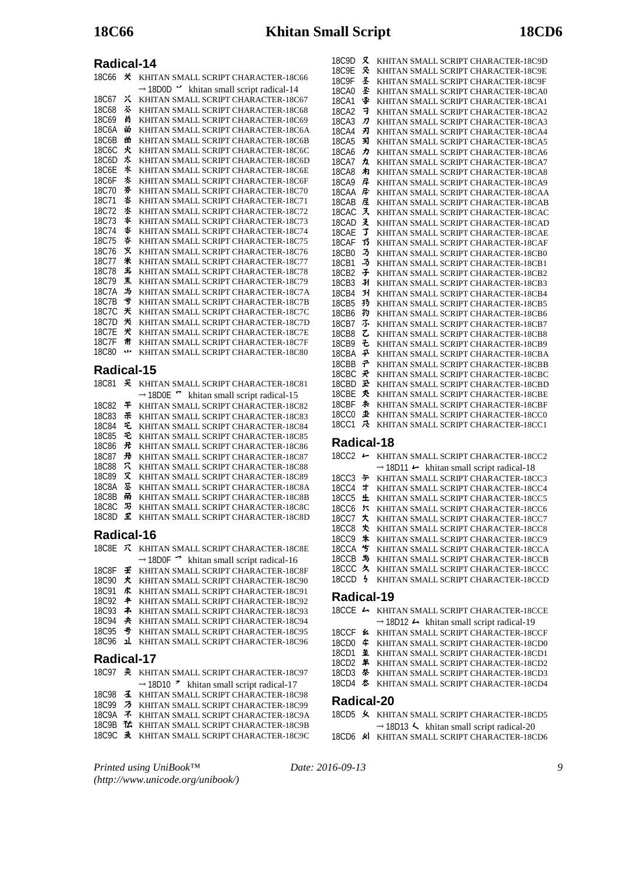| 18C66        | 关 | KHITAN SMALL SCRIPT CHARACTER-18C66                               |
|--------------|---|-------------------------------------------------------------------|
|              |   | $\rightarrow$ 18D0D $\prime\prime$ khitan small script radical-14 |
| 18C67        | Χ | KHITAN SMALL SCRIPT CHARACTER-18C67                               |
| 18C68        | 苶 | KHITAN SMALL SCRIPT CHARACTER-18C68                               |
| 18C69        | 首 | KHITAN SMALL SCRIPT CHARACTER-18C69                               |
| 18C6A        | 畄 | KHITAN SMALL SCRIPT CHARACTER-18C6A                               |
| 18C6B        | 畄 | KHITAN SMALL SCRIPT CHARACTER-18C6B                               |
| 18C6C        | 火 | KHITAN SMALL SCRIPT CHARACTER-18C6C                               |
| 18C6D        | 氺 | KHITAN SMALL SCRIPT CHARACTER-18C6D                               |
| 18C6E        | 氺 | KHITAN SMALL SCRIPT CHARACTER-18C6E                               |
| 18C6F        | 氺 | KHITAN SMALL SCRIPT CHARACTER-18C6F                               |
| 18C70        | 芬 | KHITAN SMALL SCRIPT CHARACTER-18C70                               |
| 18C71        | 氺 | KHITAN SMALL SCRIPT CHARACTER-18C71                               |
| 18C.72       | 水 | KHITAN SMALL SCRIPT CHARACTER-18C72                               |
| 18C73        | * | KHITAN SMALL SCRIPT CHARACTER-18C73                               |
| 18C.74       | 脊 | KHITAN SMALL SCRIPT CHARACTER-18C74                               |
| 18C75        | 呇 | KHITAN SMALL SCRIPT CHARACTER-18C75                               |
| 18C.76       | 乆 | KHITAN SMALL SCRIPT CHARACTER-18C76                               |
| 18C77        | 米 | KHITAN SMALL SCRIPT CHARACTER-18C77                               |
| <b>18C78</b> | 半 | KHITAN SMALL SCRIPT CHARACTER-18C78                               |
| 18C79        | 羔 | KHITAN SMALL SCRIPT CHARACTER-18C79                               |
| 18C7A        | 当 | KHITAN SMALL SCRIPT CHARACTER-18C7A                               |
| 18C7B        | ザ | KHITAN SMALL SCRIPT CHARACTER-18C7B                               |
| 18C.7C       | 米 | KHITAN SMALL SCRIPT CHARACTER-18C7C                               |
| 18C7D        | 米 | KHITAN SMALL SCRIPT CHARACTER-18C7D                               |
| 18C7F        | 犬 | KHITAN SMALL SCRIPT CHARACTER-18C7E                               |
| 18C7F        | 黹 | KHITAN SMALL SCRIPT CHARACTER-18C7F                               |
| 18C80        | w | KHITAN SMALL SCRIPT CHARACTER-18C80                               |
|              |   |                                                                   |

# **Radical-15**

| 18C81              | £  | KHITAN SMALL SCRIPT CHARACTER-18C81                       |
|--------------------|----|-----------------------------------------------------------|
|                    |    | $\rightarrow$ 18D0E $\sim$ khitan small script radical-15 |
| <b>18C82</b>       | 平  | KHITAN SMALL SCRIPT CHARACTER-18C82                       |
| <b>18C83</b>       | ポ  | KHITAN SMALL SCRIPT CHARACTER-18C83                       |
| <b>18C84</b>       | 乇  | KHITAN SMALL SCRIPT CHARACTER-18C84                       |
| <b>18C85</b>       | E. | KHITAN SMALL SCRIPT CHARACTER-18C85                       |
| <b>18C86</b>       | 光  | KHITAN SMALL SCRIPT CHARACTER-18C86                       |
| <b>18C87</b>       | 光  | KHITAN SMALL SCRIPT CHARACTER-18C87                       |
| 18C88              | 穴  | KHITAN SMALL SCRIPT CHARACTER-18C88                       |
| 18C89              | x  | KHITAN SMALL SCRIPT CHARACTER-18C89                       |
| 18C8A              | 罙  | KHITAN SMALL SCRIPT CHARACTER-18C8A                       |
| <b>18C8B</b>       | 甬  | KHITAN SMALL SCRIPT CHARACTER-18C8B                       |
| 18C <sub>8</sub> C | 马  | KHITAN SMALL SCRIPT CHARACTER-18C8C                       |
| 18C8D              | Ľ  | KHITAN SMALL SCRIPT CHARACTER-18C8D                       |

# **Radical-16**

|              |    | 18C8E ス KHITAN SMALL SCRIPT CHARACTER-18C8E                      |  |
|--------------|----|------------------------------------------------------------------|--|
|              |    | $\rightarrow$ 18D0F $\rightarrow$ khitan small script radical-16 |  |
| <b>18C8F</b> | £. | KHITAN SMALL SCRIPT CHARACTER-18C8F                              |  |
| <b>18C90</b> | 犬  | KHITAN SMALL SCRIPT CHARACTER-18C90                              |  |
| <b>18C91</b> | 求  | KHITAN SMALL SCRIPT CHARACTER-18C91                              |  |
| 18C92        | 丰  | KHITAN SMALL SCRIPT CHARACTER-18C92                              |  |
| <b>18C93</b> | ≭  | KHITAN SMALL SCRIPT CHARACTER-18C93                              |  |
| <b>18C94</b> | 夬  | KHITAN SMALL SCRIPT CHARACTER-18C94                              |  |
| 18C95        | 号  | KHITAN SMALL SCRIPT CHARACTER-18C95                              |  |
| 18C96        | 1  | KHITAN SMALL SCRIPT CHARACTER-18C96                              |  |
| Radical-17   |    |                                                                  |  |
|              |    | 18C97 柔 KHITAN SMALL SCRIPT CHARACTER-18C97                      |  |
| 10000        |    | $\rightarrow$ 18D10 $\rightarrow$ khitan small script radical-17 |  |

18C98 KHITAN SMALL SCRIPT CHARACTER-18C98

18C99 3 KHITAN SMALL SCRIPT CHARACTER-18C99 18C9A ネ KHITAN SMALL SCRIPT CHARACTER-18C9A

- 18C9B *T* KHITAN SMALL SCRIPT CHARACTER-18C9B
- 18C9C  $\lambda$  KHITAN SMALL SCRIPT CHARACTER-18C9C

*Printed using UniBook™ (http://www.unicode.org/unibook/)* *Date: 2016-09-13 9*

| 18C9D             | 又  | KHITAN SMALL SCRIPT CHARACTER-18C9D |
|-------------------|----|-------------------------------------|
| 18C9E             | 爻  | KHITAN SMALL SCRIPT CHARACTER-18C9E |
| 18C9F             | 圣  | KHITAN SMALL SCRIPT CHARACTER-18C9F |
| 18CA0             | 圣  | KHITAN SMALL SCRIPT CHARACTER-18CA0 |
| 18CA1             | 睿  | KHITAN SMALL SCRIPT CHARACTER-18CA1 |
| 18CA2             | ョ  | KHITAN SMALL SCRIPT CHARACTER-18CA2 |
| 18CA3             | л  | KHITAN SMALL SCRIPT CHARACTER-18CA3 |
| 18CA4             | 刃  | KHITAN SMALL SCRIPT CHARACTER-18CA4 |
| <b>18CA5</b>      | 习  | KHITAN SMALL SCRIPT CHARACTER-18CA5 |
| 18CA6             | ヵ  | KHITAN SMALL SCRIPT CHARACTER-18CA6 |
| 18CA7             | カ  | KHITAN SMALL SCRIPT CHARACTER-18CA7 |
| <b>18CA8</b>      | 扣  | KHITAN SMALL SCRIPT CHARACTER-18CA8 |
| 18CA9             | 戽  | KHITAN SMALL SCRIPT CHARACTER-18CA9 |
| 18CAA             | 异  | KHITAN SMALL SCRIPT CHARACTER-18CAA |
| 18CAB             | 屉  | KHITAN SMALL SCRIPT CHARACTER-18CAB |
| 18CAC             | ヌ  | KHITAN SMALL SCRIPT CHARACTER-18CAC |
| 18CAD             | 爻  | KHITAN SMALL SCRIPT CHARACTER-18CAD |
| 18CAE             | 3  | KHITAN SMALL SCRIPT CHARACTER-18CAE |
| 18CAF             | 33 | KHITAN SMALL SCRIPT CHARACTER-18CAF |
| 18CB0             | 3  | KHITAN SMALL SCRIPT CHARACTER-18CB0 |
| 18CB1             | 乃  | KHITAN SMALL SCRIPT CHARACTER-18CB1 |
| 18CB2             | 子  | KHITAN SMALL SCRIPT CHARACTER-18CB2 |
| 18CB3             | 孙  | KHITAN SMALL SCRIPT CHARACTER-18CB3 |
| 18CB4             | 31 | KHITAN SMALL SCRIPT CHARACTER-18CB4 |
| 18CB5             | 孖  | KHITAN SMALL SCRIPT CHARACTER-18CB5 |
| 18CB6             | 犳  | KHITAN SMALL SCRIPT CHARACTER-18CB6 |
| 18CB7             | 不  | KHITAN SMALL SCRIPT CHARACTER-18CB7 |
| <b>18CB8</b>      | て  | KHITAN SMALL SCRIPT CHARACTER-18CB8 |
| 18CB9             | そ  | KHITAN SMALL SCRIPT CHARACTER-18CB9 |
| 18CBA             | 予  | KHITAN SMALL SCRIPT CHARACTER-18CBA |
| 18CBB             | 쿤  | KHITAN SMALL SCRIPT CHARACTER-18CBB |
| 18CBC             | 곳  | KHITAN SMALL SCRIPT CHARACTER-18CBC |
| 18CBD             | 玉  | KHITAN SMALL SCRIPT CHARACTER-18CBD |
| 18CBE             | 氼  | KHITAN SMALL SCRIPT CHARACTER-18CBE |
| 18CBF             | 术  | KHITAN SMALL SCRIPT CHARACTER-18CBF |
| <b>18CC0</b>      | 丠  | KHITAN SMALL SCRIPT CHARACTER-18CC0 |
| 18CC <sub>1</sub> | 尕  | KHITAN SMALL SCRIPT CHARACTER-18CC1 |
|                   |    |                                     |

## **Radical-18**

| 18CC2             |    | KHITAN SMALL SCRIPT CHARACTER-18CC2                             |
|-------------------|----|-----------------------------------------------------------------|
|                   |    | $\rightarrow$ 18D11 $\leftarrow$ khitan small script radical-18 |
| 18CC3 누           |    | KHITAN SMALL SCRIPT CHARACTER-18CC3                             |
| 18CC4             | ゙゚ | KHITAN SMALL SCRIPT CHARACTER-18CC4                             |
| 18CC5 $\pm$       |    | KHITAN SMALL SCRIPT CHARACTER-18CC5                             |
| 18CC6 六           |    | KHITAN SMALL SCRIPT CHARACTER-18CC6                             |
| 18CC7 失           |    | KHITAN SMALL SCRIPT CHARACTER-18CC7                             |
| 18 $CC8$ 失        |    | KHITAN SMALL SCRIPT CHARACTER-18CC8                             |
| 18 $CC9$ 朱        |    | KHITAN SMALL SCRIPT CHARACTER-18CC9                             |
| 18CCA 5           |    | KHITAN SMALL SCRIPT CHARACTER-18CCA                             |
| 18CCB 与           |    | KHITAN SMALL SCRIPT CHARACTER-18CCB                             |
| 18CCC 久           |    | KHITAN SMALL SCRIPT CHARACTER-18CCC                             |
| 18CCD             | ь, | KHITAN SMALL SCRIPT CHARACTER-18CCD                             |
| <b>Dadical_10</b> |    |                                                                 |

### **Radical-19**

|                                             |  | 18CCE - KHITAN SMALL SCRIPT CHARACTER-18CCE                      |
|---------------------------------------------|--|------------------------------------------------------------------|
|                                             |  | $\rightarrow$ 18D12 $\rightarrow$ khitan small script radical-19 |
|                                             |  | 18CCF & KHITAN SMALL SCRIPT CHARACTER-18CCF                      |
|                                             |  | 18CD0 $\text{\textsterling}$ KHITAN SMALL SCRIPT CHARACTER-18CD0 |
|                                             |  | 18CD1 <b>主</b> KHITAN SMALL SCRIPT CHARACTER-18CD1               |
|                                             |  | 18CD2 * KHITAN SMALL SCRIPT CHARACTER-18CD2                      |
|                                             |  | 18CD3 条 KHITAN SMALL SCRIPT CHARACTER-18CD3                      |
|                                             |  | 18CD4 <b>*</b> KHITAN SMALL SCRIPT CHARACTER-18CD4               |
| Radical-20<br>$\mathbf{1} \cdot \mathbf{1}$ |  |                                                                  |
|                                             |  |                                                                  |

|  | 18CD5 & KHITAN SMALL SCRIPT CHARACTER-18CD5                     |
|--|-----------------------------------------------------------------|
|  | $\rightarrow$ 18D13 $\leftarrow$ khitan small script radical-20 |
|  | 18CD6 & KHITAN SMALL SCRIPT CHARACTER-18CD6                     |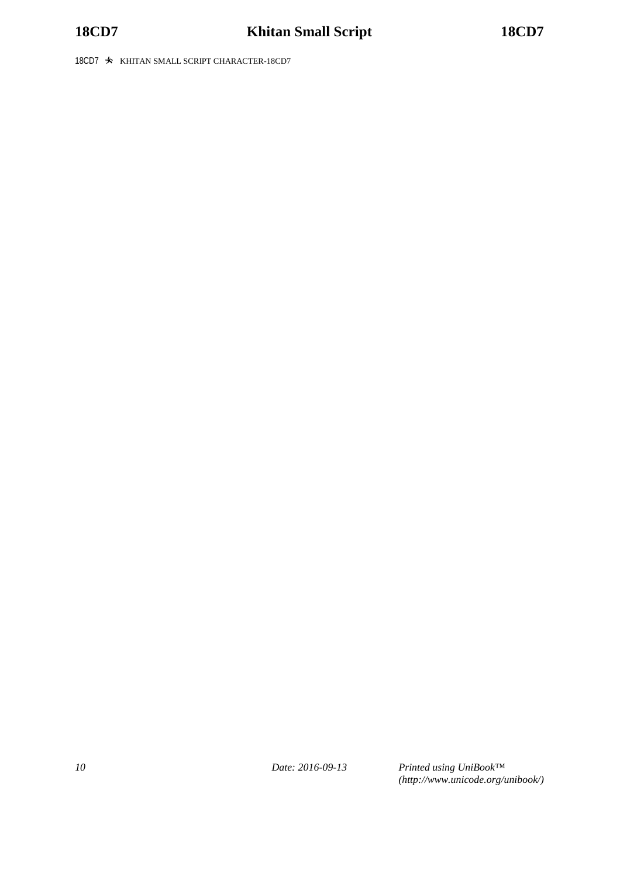18CD7  $\cdot$  KHITAN SMALL SCRIPT CHARACTER-18CD7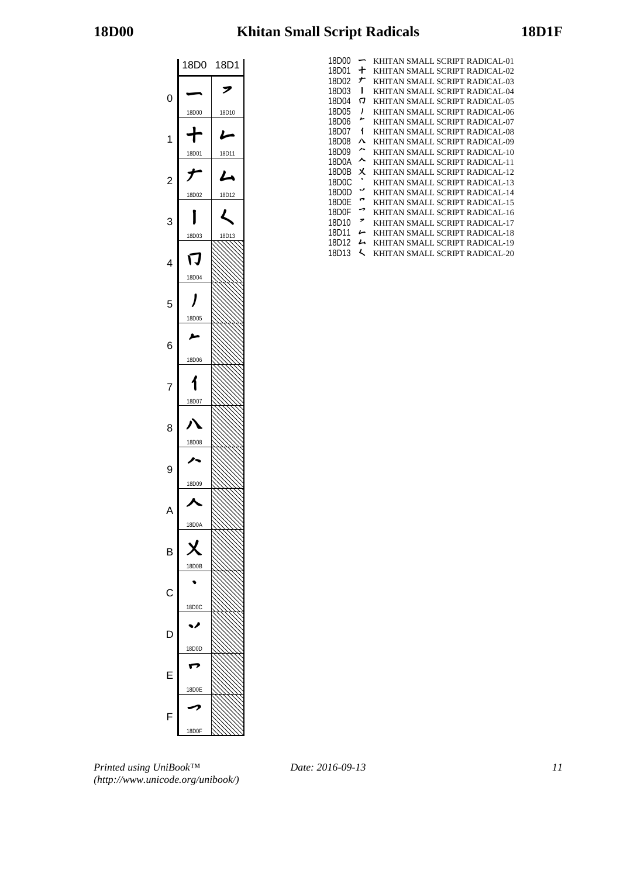

| 18D00 |   | KHITAN SMALL SCRIPT RADICAL-01 |
|-------|---|--------------------------------|
| 18D01 | ╈ | KHITAN SMALL SCRIPT RADICAL-02 |
| 18D02 | ナ | KHITAN SMALL SCRIPT RADICAL-03 |
| 18D03 | ı | KHITAN SMALL SCRIPT RADICAL-04 |
| 18D04 | 冂 | KHITAN SMALL SCRIPT RADICAL-05 |
| 18D05 | ı | KHITAN SMALL SCRIPT RADICAL-06 |
| 18D06 | ∼ | KHITAN SMALL SCRIPT RADICAL-07 |
| 18D07 | 1 | KHITAN SMALL SCRIPT RADICAL-08 |
| 18D08 | л | KHITAN SMALL SCRIPT RADICAL-09 |
| 18D09 | ∼ | KHITAN SMALL SCRIPT RADICAL-10 |
| 18D0A | ᄉ | KHITAN SMALL SCRIPT RADICAL-11 |
| 18D0B | x | KHITAN SMALL SCRIPT RADICAL-12 |
| 18D0C |   | KHITAN SMALL SCRIPT RADICAL-13 |
| 18D0D | v | KHITAN SMALL SCRIPT RADICAL-14 |
| 18D0F | ⊷ | KHITAN SMALL SCRIPT RADICAL-15 |
| 18D0F | ⇁ | KHITAN SMALL SCRIPT RADICAL-16 |
| 18D10 | ↗ | KHITAN SMALL SCRIPT RADICAL-17 |
| 18D11 | ı | KHITAN SMALL SCRIPT RADICAL-18 |
| 18D12 | L | KHITAN SMALL SCRIPT RADICAL-19 |
| 18D13 | L | KHITAN SMALL SCRIPT RADICAL-20 |

*Printed using UniBook™ (http://www.unicode.org/unibook/)*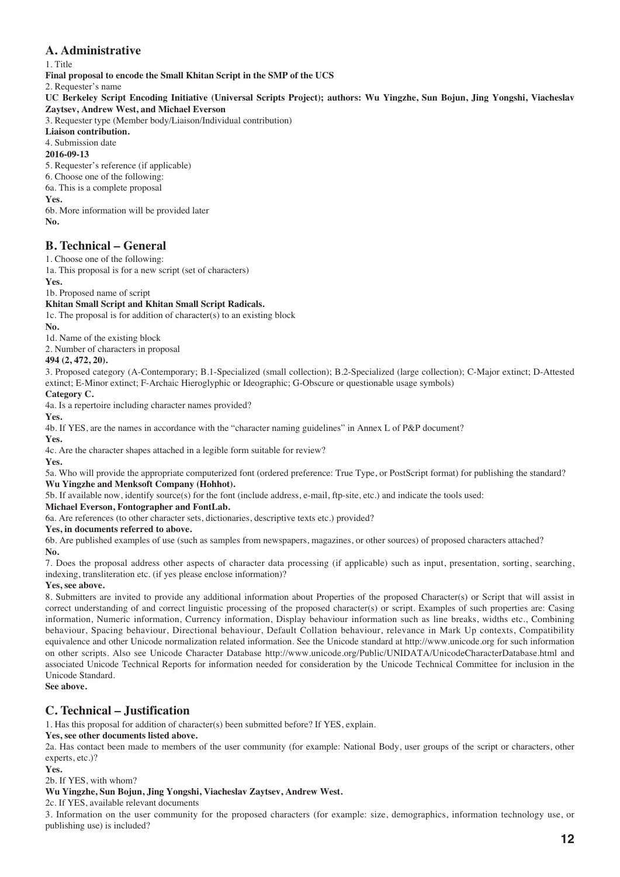# **A. Administrative**

1. Title

**Final proposal to encode the Small Khitan Script in the SMP of the UCS**

2. Requester's name

**UC Berkeley Script Encoding Initiative (Universal Scripts Project); authors: Wu Yingzhe, Sun Bojun, Jing Yongshi, Viacheslav Zaytsev, Andrew West, and Michael Everson**

3. Requester type (Member body/Liaison/Individual contribution)

**Liaison contribution.**

4. Submission date

### **2016-09-13**

5. Requester's reference (if applicable)

6. Choose one of the following:

6a. This is a complete proposal

## **Yes.**

6b. More information will be provided later **No.**

# **B. Technical – General**

1. Choose one of the following:

1a. This proposal is for a new script (set of characters)

**Yes.**

1b. Proposed name of script

### **Khitan Small Script and Khitan Small Script Radicals.**

1c. The proposal is for addition of character(s) to an existing block

**No.** 1d. Name of the existing block

2. Number of characters in proposal

# **494 (2, 472, 20).**

3. Proposed category (A-Contemporary; B.1-Specialized (small collection); B.2-Specialized (large collection); C-Major extinct; D-Attested extinct; E-Minor extinct; F-Archaic Hieroglyphic or Ideographic; G-Obscure or questionable usage symbols)

# **Category C.**

4a. Is a repertoire including character names provided?

**Yes.**

4b. If YES, are the names in accordance with the "character naming guidelines" in Annex L of P&P document?

**Yes.**

4c. Are the character shapes attached in a legible form suitable for review?

**Yes.**

5a. Who will provide the appropriate computerized font (ordered preference: True Type, or PostScript format) for publishing the standard? **Wu Yingzhe and Menksoft Company (Hohhot).** 

5b. If available now, identify source(s) for the font (include address, e-mail, ftp-site, etc.) and indicate the tools used:

**Michael Everson, Fontographer and FontLab.**

6a. Are references (to other character sets, dictionaries, descriptive texts etc.) provided?

**Yes, in documents referred to above.**

6b. Are published examples of use (such as samples from newspapers, magazines, or other sources) of proposed characters attached? **No.**

7. Does the proposal address other aspects of character data processing (if applicable) such as input, presentation, sorting, searching, indexing, transliteration etc. (if yes please enclose information)?

### **Yes, see above.**

8. Submitters are invited to provide any additional information about Properties of the proposed Character(s) or Script that will assist in correct understanding of and correct linguistic processing of the proposed character(s) or script. Examples of such properties are: Casing information, Numeric information, Currency information, Display behaviour information such as line breaks, widths etc., Combining behaviour, Spacing behaviour, Directional behaviour, Default Collation behaviour, relevance in Mark Up contexts, Compatibility equivalence and other Unicode normalization related information. See the Unicode standard at http://www.unicode.org for such information on other scripts. Also see Unicode Character Database http://www.unicode.org/Public/UNIDATA/UnicodeCharacterDatabase.html and associated Unicode Technical Reports for information needed for consideration by the Unicode Technical Committee for inclusion in the Unicode Standard.

**See above.**

# **C. Technical – Justification**

1. Has this proposal for addition of character(s) been submitted before? If YES, explain.

### **Yes, see other documents listed above.**

2a. Has contact been made to members of the user community (for example: National Body, user groups of the script or characters, other experts, etc.)?

### **Yes.**

2b. If YES, with whom?

### **Wu Yingzhe, Sun Bojun, Jing Yongshi, Viacheslav Zaytsev, Andrew West.**

2c. If YES, available relevant documents

3. Information on the user community for the proposed characters (for example: size, demographics, information technology use, or publishing use) is included?